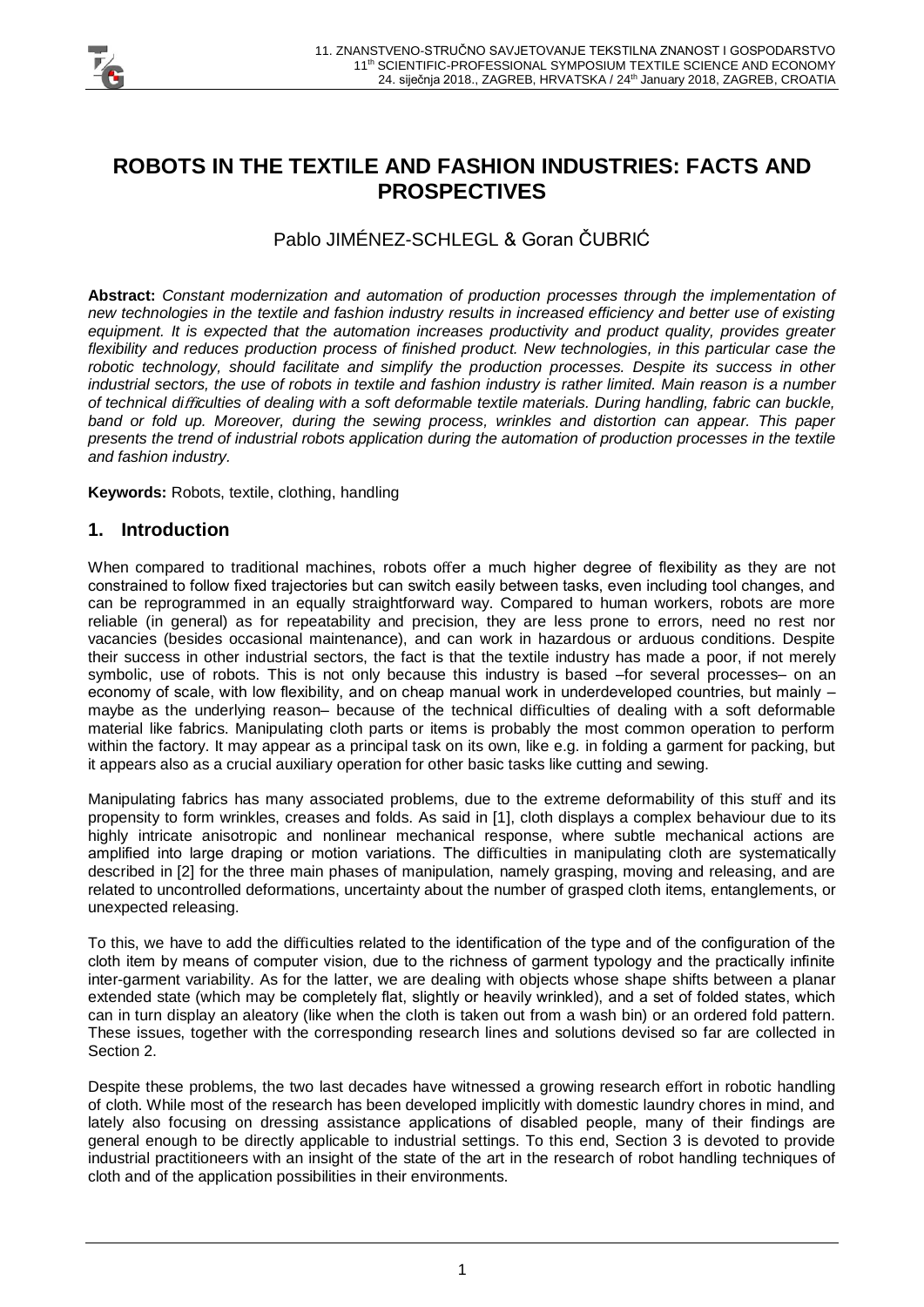

# **ROBOTS IN THE TEXTILE AND FASHION INDUSTRIES: FACTS AND PROSPECTIVES**

# Pablo JIMÉNEZ-SCHLEGL & Goran ČUBRIĆ

**Abstract:** *Constant modernization and automation of production processes through the implementation of new technologies in the textile and fashion industry results in increased efficiency and better use of existing equipment. It is expected that the automation increases productivity and product quality, provides greater*  flexibility and reduces production process of finished product. New technologies, in this particular case the *robotic technology, should facilitate and simplify the production processes. Despite its success in other industrial sectors, the use of robots in textile and fashion industry is rather limited. Main reason is a number of technical di*ffi*culties of dealing with a soft deformable textile materials. During handling, fabric can buckle, band or fold up. Moreover, during the sewing process, wrinkles and distortion can appear. This paper presents the trend of industrial robots application during the automation of production processes in the textile and fashion industry.*

**Keywords:** Robots, textile, clothing, handling

## **1. Introduction**

When compared to traditional machines, robots offer a much higher degree of flexibility as they are not constrained to follow fixed trajectories but can switch easily between tasks, even including tool changes, and can be reprogrammed in an equally straightforward way. Compared to human workers, robots are more reliable (in general) as for repeatability and precision, they are less prone to errors, need no rest nor vacancies (besides occasional maintenance), and can work in hazardous or arduous conditions. Despite their success in other industrial sectors, the fact is that the textile industry has made a poor, if not merely symbolic, use of robots. This is not only because this industry is based –for several processes– on an economy of scale, with low flexibility, and on cheap manual work in underdeveloped countries, but mainly – maybe as the underlying reason– because of the technical difficulties of dealing with a soft deformable material like fabrics. Manipulating cloth parts or items is probably the most common operation to perform within the factory. It may appear as a principal task on its own, like e.g. in folding a garment for packing, but it appears also as a crucial auxiliary operation for other basic tasks like cutting and sewing.

Manipulating fabrics has many associated problems, due to the extreme deformability of this stuff and its propensity to form wrinkles, creases and folds. As said in [1], cloth displays a complex behaviour due to its highly intricate anisotropic and nonlinear mechanical response, where subtle mechanical actions are amplified into large draping or motion variations. The difficulties in manipulating cloth are systematically described in [2] for the three main phases of manipulation, namely grasping, moving and releasing, and are related to uncontrolled deformations, uncertainty about the number of grasped cloth items, entanglements, or unexpected releasing.

To this, we have to add the difficulties related to the identification of the type and of the configuration of the cloth item by means of computer vision, due to the richness of garment typology and the practically infinite inter-garment variability. As for the latter, we are dealing with objects whose shape shifts between a planar extended state (which may be completely flat, slightly or heavily wrinkled), and a set of folded states, which can in turn display an aleatory (like when the cloth is taken out from a wash bin) or an ordered fold pattern. These issues, together with the corresponding research lines and solutions devised so far are collected in Section 2.

Despite these problems, the two last decades have witnessed a growing research effort in robotic handling of cloth. While most of the research has been developed implicitly with domestic laundry chores in mind, and lately also focusing on dressing assistance applications of disabled people, many of their findings are general enough to be directly applicable to industrial settings. To this end, Section 3 is devoted to provide industrial practitioneers with an insight of the state of the art in the research of robot handling techniques of cloth and of the application possibilities in their environments.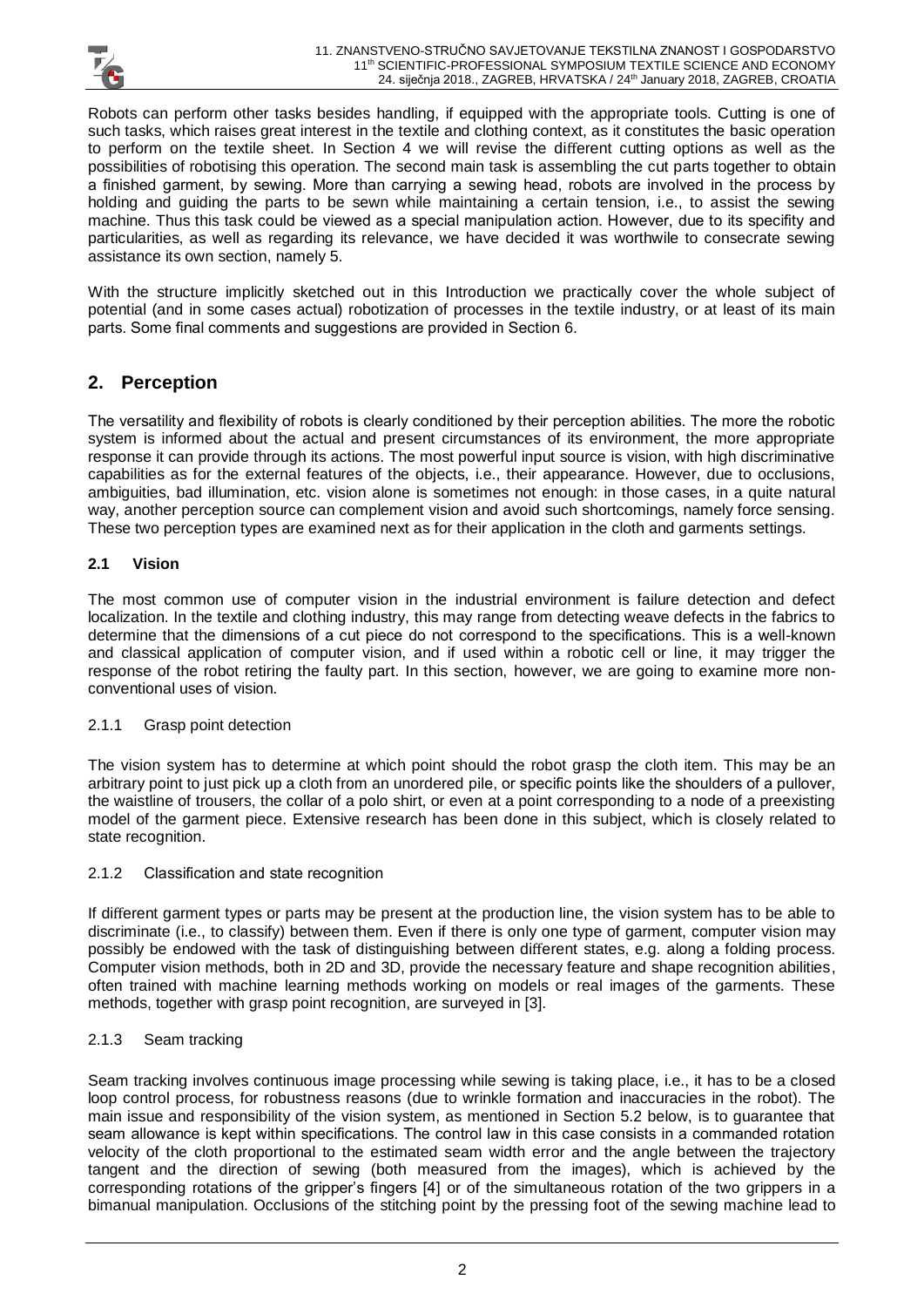

Robots can perform other tasks besides handling, if equipped with the appropriate tools. Cutting is one of such tasks, which raises great interest in the textile and clothing context, as it constitutes the basic operation to perform on the textile sheet. In Section 4 we will revise the different cutting options as well as the possibilities of robotising this operation. The second main task is assembling the cut parts together to obtain a finished garment, by sewing. More than carrying a sewing head, robots are involved in the process by holding and guiding the parts to be sewn while maintaining a certain tension, i.e., to assist the sewing machine. Thus this task could be viewed as a special manipulation action. However, due to its specifity and particularities, as well as regarding its relevance, we have decided it was worthwile to consecrate sewing assistance its own section, namely 5.

With the structure implicitly sketched out in this Introduction we practically cover the whole subject of potential (and in some cases actual) robotization of processes in the textile industry, or at least of its main parts. Some final comments and suggestions are provided in Section 6.

# **2. Perception**

The versatility and flexibility of robots is clearly conditioned by their perception abilities. The more the robotic system is informed about the actual and present circumstances of its environment, the more appropriate response it can provide through its actions. The most powerful input source is vision, with high discriminative capabilities as for the external features of the objects, i.e., their appearance. However, due to occlusions, ambiguities, bad illumination, etc. vision alone is sometimes not enough: in those cases, in a quite natural way, another perception source can complement vision and avoid such shortcomings, namely force sensing. These two perception types are examined next as for their application in the cloth and garments settings.

## **2.1 Vision**

The most common use of computer vision in the industrial environment is failure detection and defect localization. In the textile and clothing industry, this may range from detecting weave defects in the fabrics to determine that the dimensions of a cut piece do not correspond to the specifications. This is a well-known and classical application of computer vision, and if used within a robotic cell or line, it may trigger the response of the robot retiring the faulty part. In this section, however, we are going to examine more nonconventional uses of vision.

## 2.1.1 Grasp point detection

The vision system has to determine at which point should the robot grasp the cloth item. This may be an arbitrary point to just pick up a cloth from an unordered pile, or specific points like the shoulders of a pullover, the waistline of trousers, the collar of a polo shirt, or even at a point corresponding to a node of a preexisting model of the garment piece. Extensive research has been done in this subject, which is closely related to state recognition.

## 2.1.2 Classification and state recognition

If different garment types or parts may be present at the production line, the vision system has to be able to discriminate (i.e., to classify) between them. Even if there is only one type of garment, computer vision may possibly be endowed with the task of distinguishing between different states, e.g. along a folding process. Computer vision methods, both in 2D and 3D, provide the necessary feature and shape recognition abilities, often trained with machine learning methods working on models or real images of the garments. These methods, together with grasp point recognition, are surveyed in [3].

## 2.1.3 Seam tracking

Seam tracking involves continuous image processing while sewing is taking place, i.e., it has to be a closed loop control process, for robustness reasons (due to wrinkle formation and inaccuracies in the robot). The main issue and responsibility of the vision system, as mentioned in Section 5.2 below, is to guarantee that seam allowance is kept within specifications. The control law in this case consists in a commanded rotation velocity of the cloth proportional to the estimated seam width error and the angle between the trajectory tangent and the direction of sewing (both measured from the images), which is achieved by the corresponding rotations of the gripper's fingers [4] or of the simultaneous rotation of the two grippers in a bimanual manipulation. Occlusions of the stitching point by the pressing foot of the sewing machine lead to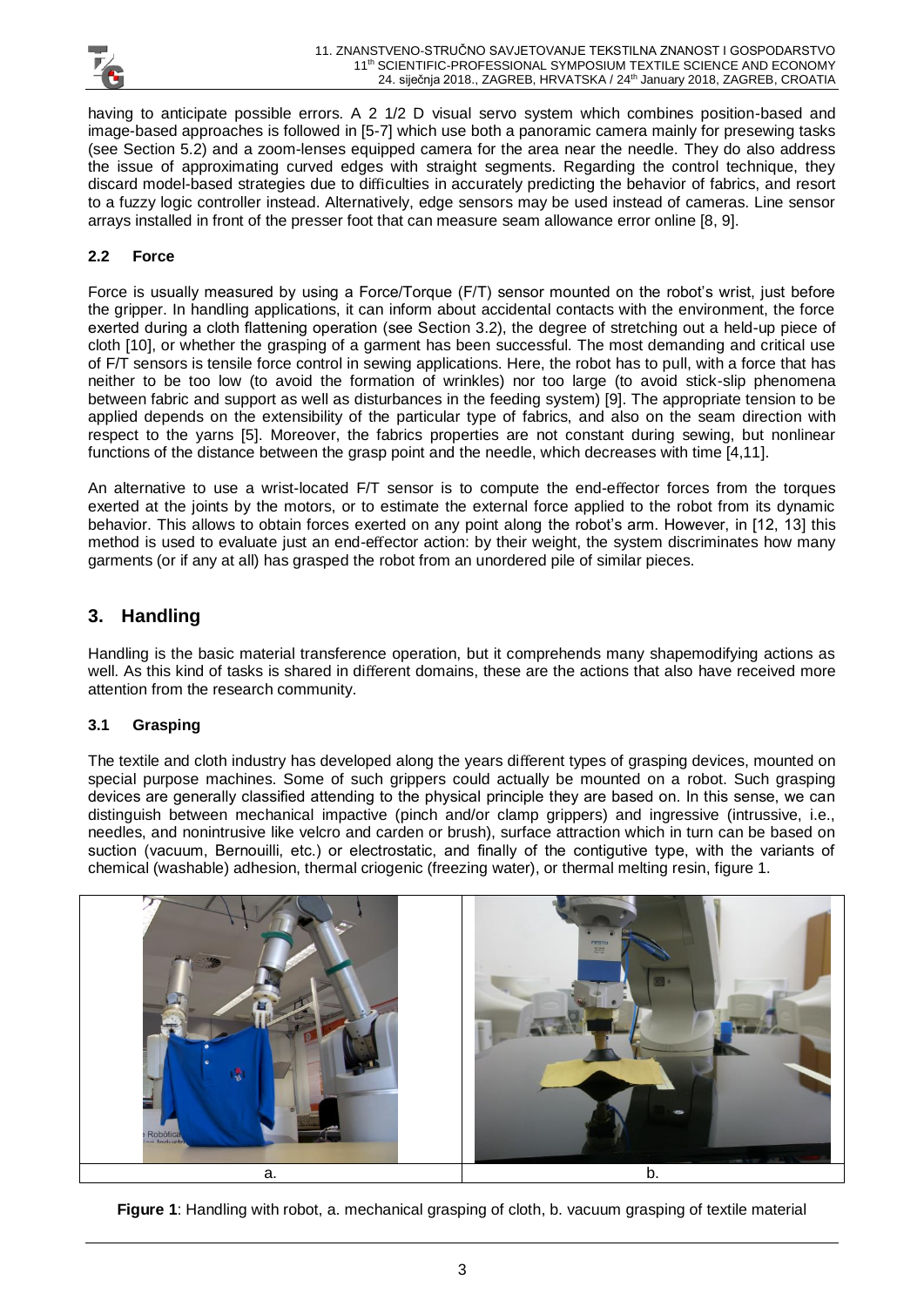

having to anticipate possible errors. A 2 1/2 D visual servo system which combines position-based and image-based approaches is followed in [5-7] which use both a panoramic camera mainly for presewing tasks (see Section 5.2) and a zoom-lenses equipped camera for the area near the needle. They do also address the issue of approximating curved edges with straight segments. Regarding the control technique, they discard model-based strategies due to difficulties in accurately predicting the behavior of fabrics, and resort to a fuzzy logic controller instead. Alternatively, edge sensors may be used instead of cameras. Line sensor arrays installed in front of the presser foot that can measure seam allowance error online [8, 9].

# **2.2 Force**

Force is usually measured by using a Force/Torque (F/T) sensor mounted on the robot's wrist, just before the gripper. In handling applications, it can inform about accidental contacts with the environment, the force exerted during a cloth flattening operation (see Section 3.2), the degree of stretching out a held-up piece of cloth [10], or whether the grasping of a garment has been successful. The most demanding and critical use of F/T sensors is tensile force control in sewing applications. Here, the robot has to pull, with a force that has neither to be too low (to avoid the formation of wrinkles) nor too large (to avoid stick-slip phenomena between fabric and support as well as disturbances in the feeding system) [9]. The appropriate tension to be applied depends on the extensibility of the particular type of fabrics, and also on the seam direction with respect to the yarns [5]. Moreover, the fabrics properties are not constant during sewing, but nonlinear functions of the distance between the grasp point and the needle, which decreases with time [4,11].

An alternative to use a wrist-located F/T sensor is to compute the end-effector forces from the torques exerted at the joints by the motors, or to estimate the external force applied to the robot from its dynamic behavior. This allows to obtain forces exerted on any point along the robot's arm. However, in [12, 13] this method is used to evaluate just an end-effector action: by their weight, the system discriminates how many garments (or if any at all) has grasped the robot from an unordered pile of similar pieces.

# **3. Handling**

Handling is the basic material transference operation, but it comprehends many shapemodifying actions as well. As this kind of tasks is shared in different domains, these are the actions that also have received more attention from the research community.

## **3.1 Grasping**

The textile and cloth industry has developed along the years different types of grasping devices, mounted on special purpose machines. Some of such grippers could actually be mounted on a robot. Such grasping devices are generally classified attending to the physical principle they are based on. In this sense, we can distinguish between mechanical impactive (pinch and/or clamp grippers) and ingressive (intrussive, i.e., needles, and nonintrusive like velcro and carden or brush), surface attraction which in turn can be based on suction (vacuum, Bernouilli, etc.) or electrostatic, and finally of the contigutive type, with the variants of chemical (washable) adhesion, thermal criogenic (freezing water), or thermal melting resin, figure 1.



**Figure 1**: Handling with robot, a. mechanical grasping of cloth, b. vacuum grasping of textile material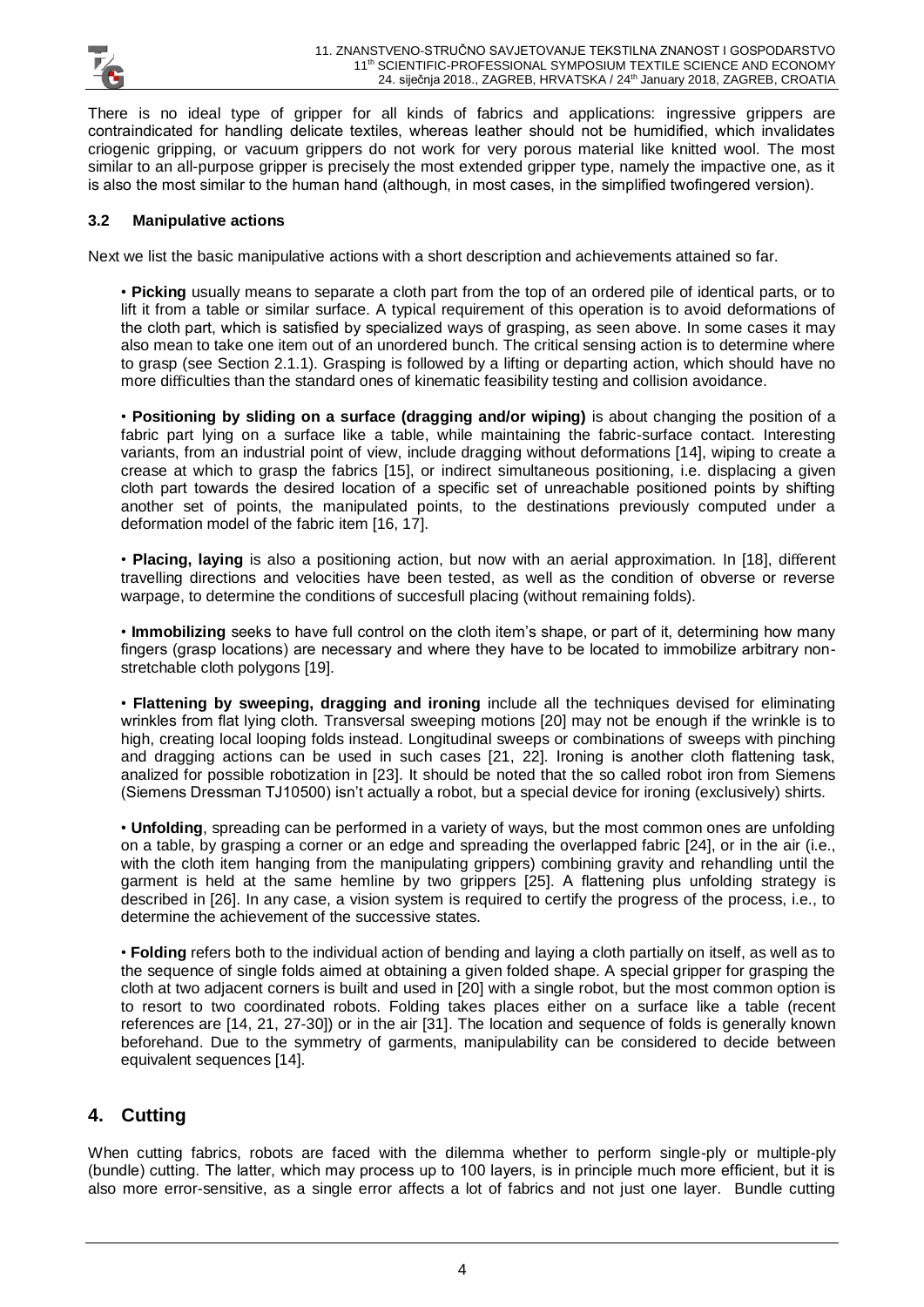

There is no ideal type of gripper for all kinds of fabrics and applications: ingressive grippers are contraindicated for handling delicate textiles, whereas leather should not be humidified, which invalidates criogenic gripping, or vacuum grippers do not work for very porous material like knitted wool. The most similar to an all-purpose gripper is precisely the most extended gripper type, namely the impactive one, as it is also the most similar to the human hand (although, in most cases, in the simplified twofingered version).

#### **3.2 Manipulative actions**

Next we list the basic manipulative actions with a short description and achievements attained so far.

• **Picking** usually means to separate a cloth part from the top of an ordered pile of identical parts, or to lift it from a table or similar surface. A typical requirement of this operation is to avoid deformations of the cloth part, which is satisfied by specialized ways of grasping, as seen above. In some cases it may also mean to take one item out of an unordered bunch. The critical sensing action is to determine where to grasp (see Section 2.1.1). Grasping is followed by a lifting or departing action, which should have no more difficulties than the standard ones of kinematic feasibility testing and collision avoidance.

• **Positioning by sliding on a surface (dragging and/or wiping)** is about changing the position of a fabric part lying on a surface like a table, while maintaining the fabric-surface contact. Interesting variants, from an industrial point of view, include dragging without deformations [14], wiping to create a crease at which to grasp the fabrics [15], or indirect simultaneous positioning, i.e. displacing a given cloth part towards the desired location of a specific set of unreachable positioned points by shifting another set of points, the manipulated points, to the destinations previously computed under a deformation model of the fabric item [16, 17].

• **Placing, laying** is also a positioning action, but now with an aerial approximation. In [18], different travelling directions and velocities have been tested, as well as the condition of obverse or reverse warpage, to determine the conditions of succesfull placing (without remaining folds).

• **Immobilizing** seeks to have full control on the cloth item's shape, or part of it, determining how many fingers (grasp locations) are necessary and where they have to be located to immobilize arbitrary nonstretchable cloth polygons [19].

• **Flattening by sweeping, dragging and ironing** include all the techniques devised for eliminating wrinkles from flat lying cloth. Transversal sweeping motions [20] may not be enough if the wrinkle is to high, creating local looping folds instead. Longitudinal sweeps or combinations of sweeps with pinching and dragging actions can be used in such cases [21, 22]. Ironing is another cloth flattening task, analized for possible robotization in [23]. It should be noted that the so called robot iron from Siemens (Siemens Dressman TJ10500) isn't actually a robot, but a special device for ironing (exclusively) shirts.

• **Unfolding**, spreading can be performed in a variety of ways, but the most common ones are unfolding on a table, by grasping a corner or an edge and spreading the overlapped fabric [24], or in the air (i.e., with the cloth item hanging from the manipulating grippers) combining gravity and rehandling until the garment is held at the same hemline by two grippers [25]. A flattening plus unfolding strategy is described in [26]. In any case, a vision system is required to certify the progress of the process, i.e., to determine the achievement of the successive states.

• **Folding** refers both to the individual action of bending and laying a cloth partially on itself, as well as to the sequence of single folds aimed at obtaining a given folded shape. A special gripper for grasping the cloth at two adjacent corners is built and used in [20] with a single robot, but the most common option is to resort to two coordinated robots. Folding takes places either on a surface like a table (recent references are [14, 21, 27-30]) or in the air [31]. The location and sequence of folds is generally known beforehand. Due to the symmetry of garments, manipulability can be considered to decide between equivalent sequences [14].

# **4. Cutting**

When cutting fabrics, robots are faced with the dilemma whether to perform single-ply or multiple-ply (bundle) cutting. The latter, which may process up to 100 layers, is in principle much more efficient, but it is also more error-sensitive, as a single error affects a lot of fabrics and not just one layer. Bundle cutting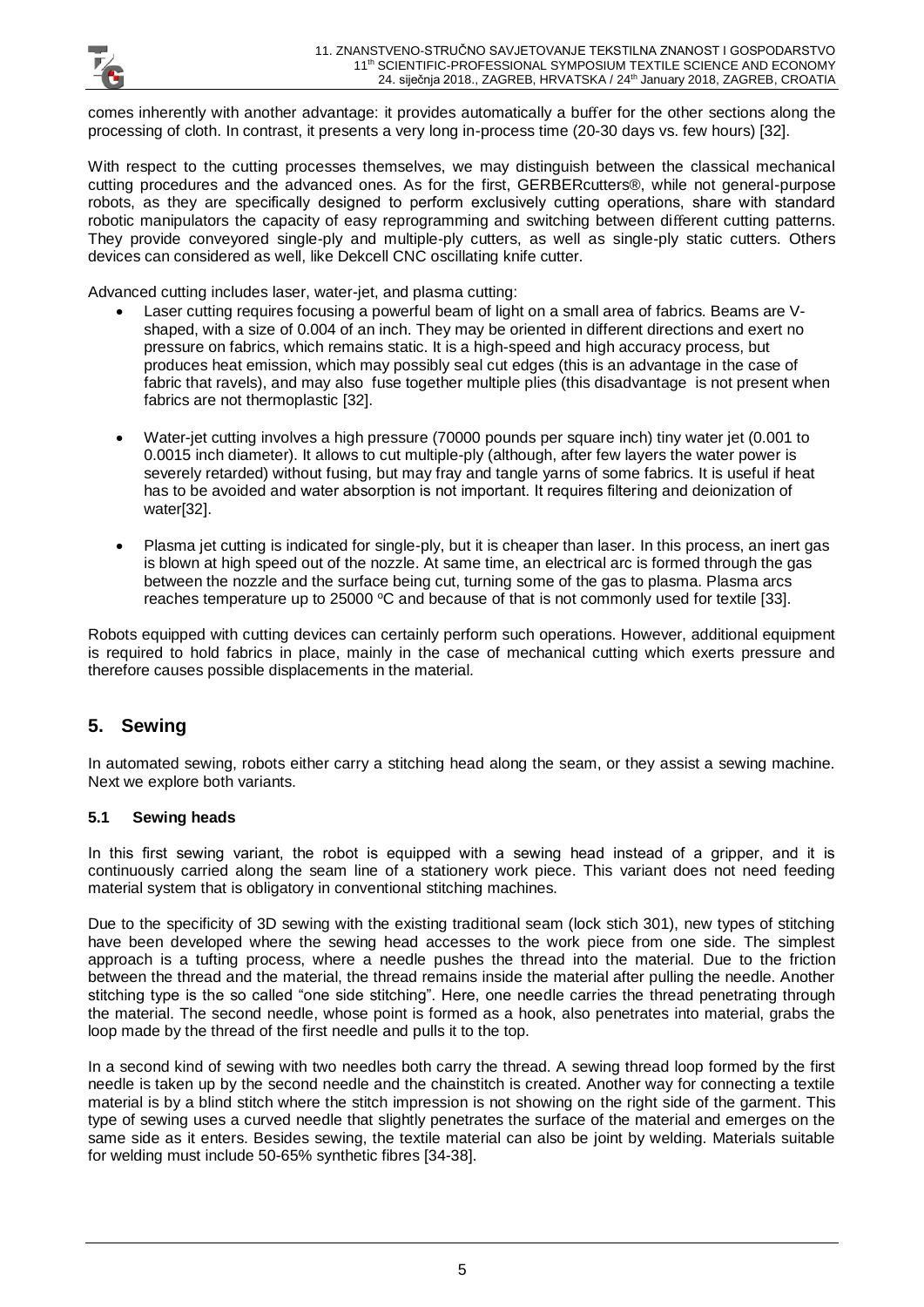comes inherently with another advantage: it provides automatically a buffer for the other sections along the processing of cloth. In contrast, it presents a very long in-process time (20-30 days vs. few hours) [32].

With respect to the cutting processes themselves, we may distinguish between the classical mechanical cutting procedures and the advanced ones. As for the first, GERBERcutters®, while not general-purpose robots, as they are specifically designed to perform exclusively cutting operations, share with standard robotic manipulators the capacity of easy reprogramming and switching between different cutting patterns. They provide conveyored single-ply and multiple-ply cutters, as well as single-ply static cutters. Others devices can considered as well, like Dekcell CNC oscillating knife cutter.

Advanced cutting includes laser, water-jet, and plasma cutting:

- Laser cutting requires focusing a powerful beam of light on a small area of fabrics. Beams are Vshaped, with a size of 0.004 of an inch. They may be oriented in different directions and exert no pressure on fabrics, which remains static. It is a high-speed and high accuracy process, but produces heat emission, which may possibly seal cut edges (this is an advantage in the case of fabric that ravels), and may also fuse together multiple plies (this disadvantage is not present when fabrics are not thermoplastic [32].
- Water-jet cutting involves a high pressure (70000 pounds per square inch) tiny water jet (0.001 to 0.0015 inch diameter). It allows to cut multiple-ply (although, after few layers the water power is severely retarded) without fusing, but may fray and tangle yarns of some fabrics. It is useful if heat has to be avoided and water absorption is not important. It requires filtering and deionization of water[32].
- Plasma jet cutting is indicated for single-ply, but it is cheaper than laser. In this process, an inert gas is blown at high speed out of the nozzle. At same time, an electrical arc is formed through the gas between the nozzle and the surface being cut, turning some of the gas to plasma. Plasma arcs reaches temperature up to 25000 °C and because of that is not commonly used for textile [33].

Robots equipped with cutting devices can certainly perform such operations. However, additional equipment is required to hold fabrics in place, mainly in the case of mechanical cutting which exerts pressure and therefore causes possible displacements in the material.

# **5. Sewing**

In automated sewing, robots either carry a stitching head along the seam, or they assist a sewing machine. Next we explore both variants.

## **5.1 Sewing heads**

In this first sewing variant, the robot is equipped with a sewing head instead of a gripper, and it is continuously carried along the seam line of a stationery work piece. This variant does not need feeding material system that is obligatory in conventional stitching machines.

Due to the specificity of 3D sewing with the existing traditional seam (lock stich 301), new types of stitching have been developed where the sewing head accesses to the work piece from one side. The simplest approach is a tufting process, where a needle pushes the thread into the material. Due to the friction between the thread and the material, the thread remains inside the material after pulling the needle. Another stitching type is the so called "one side stitching". Here, one needle carries the thread penetrating through the material. The second needle, whose point is formed as a hook, also penetrates into material, grabs the loop made by the thread of the first needle and pulls it to the top.

In a second kind of sewing with two needles both carry the thread. A sewing thread loop formed by the first needle is taken up by the second needle and the chainstitch is created. Another way for connecting a textile material is by a blind stitch where the stitch impression is not showing on the right side of the garment. This type of sewing uses a curved needle that slightly penetrates the surface of the material and emerges on the same side as it enters. Besides sewing, the textile material can also be joint by welding. Materials suitable for welding must include 50-65% synthetic fibres [34-38].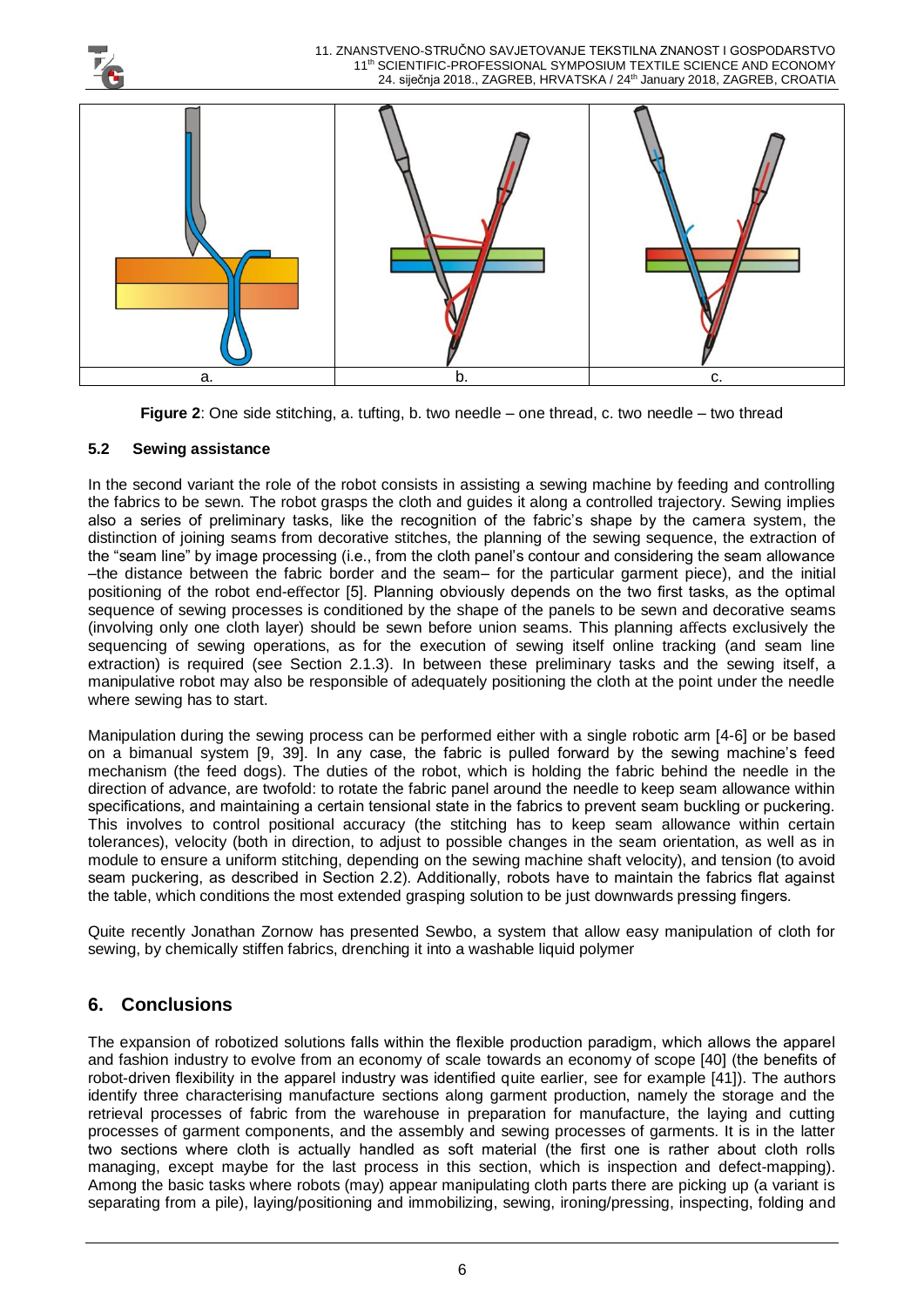

**Figure 2**: One side stitching, a. tufting, b. two needle – one thread, c. two needle – two thread

#### **5.2 Sewing assistance**

In the second variant the role of the robot consists in assisting a sewing machine by feeding and controlling the fabrics to be sewn. The robot grasps the cloth and guides it along a controlled trajectory. Sewing implies also a series of preliminary tasks, like the recognition of the fabric's shape by the camera system, the distinction of joining seams from decorative stitches, the planning of the sewing sequence, the extraction of the "seam line" by image processing (i.e., from the cloth panel's contour and considering the seam allowance –the distance between the fabric border and the seam– for the particular garment piece), and the initial positioning of the robot end-effector [5]. Planning obviously depends on the two first tasks, as the optimal sequence of sewing processes is conditioned by the shape of the panels to be sewn and decorative seams (involving only one cloth layer) should be sewn before union seams. This planning affects exclusively the sequencing of sewing operations, as for the execution of sewing itself online tracking (and seam line extraction) is required (see Section 2.1.3). In between these preliminary tasks and the sewing itself, a manipulative robot may also be responsible of adequately positioning the cloth at the point under the needle where sewing has to start.

Manipulation during the sewing process can be performed either with a single robotic arm [4-6] or be based on a bimanual system [9, 39]. In any case, the fabric is pulled forward by the sewing machine's feed mechanism (the feed dogs). The duties of the robot, which is holding the fabric behind the needle in the direction of advance, are twofold: to rotate the fabric panel around the needle to keep seam allowance within specifications, and maintaining a certain tensional state in the fabrics to prevent seam buckling or puckering. This involves to control positional accuracy (the stitching has to keep seam allowance within certain tolerances), velocity (both in direction, to adjust to possible changes in the seam orientation, as well as in module to ensure a uniform stitching, depending on the sewing machine shaft velocity), and tension (to avoid seam puckering, as described in Section 2.2). Additionally, robots have to maintain the fabrics flat against the table, which conditions the most extended grasping solution to be just downwards pressing fingers.

Quite recently Jonathan Zornow has presented Sewbo, a system that allow easy manipulation of cloth for sewing, by chemically stiffen fabrics, drenching it into a washable liquid polymer

# **6. Conclusions**

The expansion of robotized solutions falls within the flexible production paradigm, which allows the apparel and fashion industry to evolve from an economy of scale towards an economy of scope [40] (the benefits of robot-driven flexibility in the apparel industry was identified quite earlier, see for example [41]). The authors identify three characterising manufacture sections along garment production, namely the storage and the retrieval processes of fabric from the warehouse in preparation for manufacture, the laying and cutting processes of garment components, and the assembly and sewing processes of garments. It is in the latter two sections where cloth is actually handled as soft material (the first one is rather about cloth rolls managing, except maybe for the last process in this section, which is inspection and defect-mapping). Among the basic tasks where robots (may) appear manipulating cloth parts there are picking up (a variant is separating from a pile), laying/positioning and immobilizing, sewing, ironing/pressing, inspecting, folding and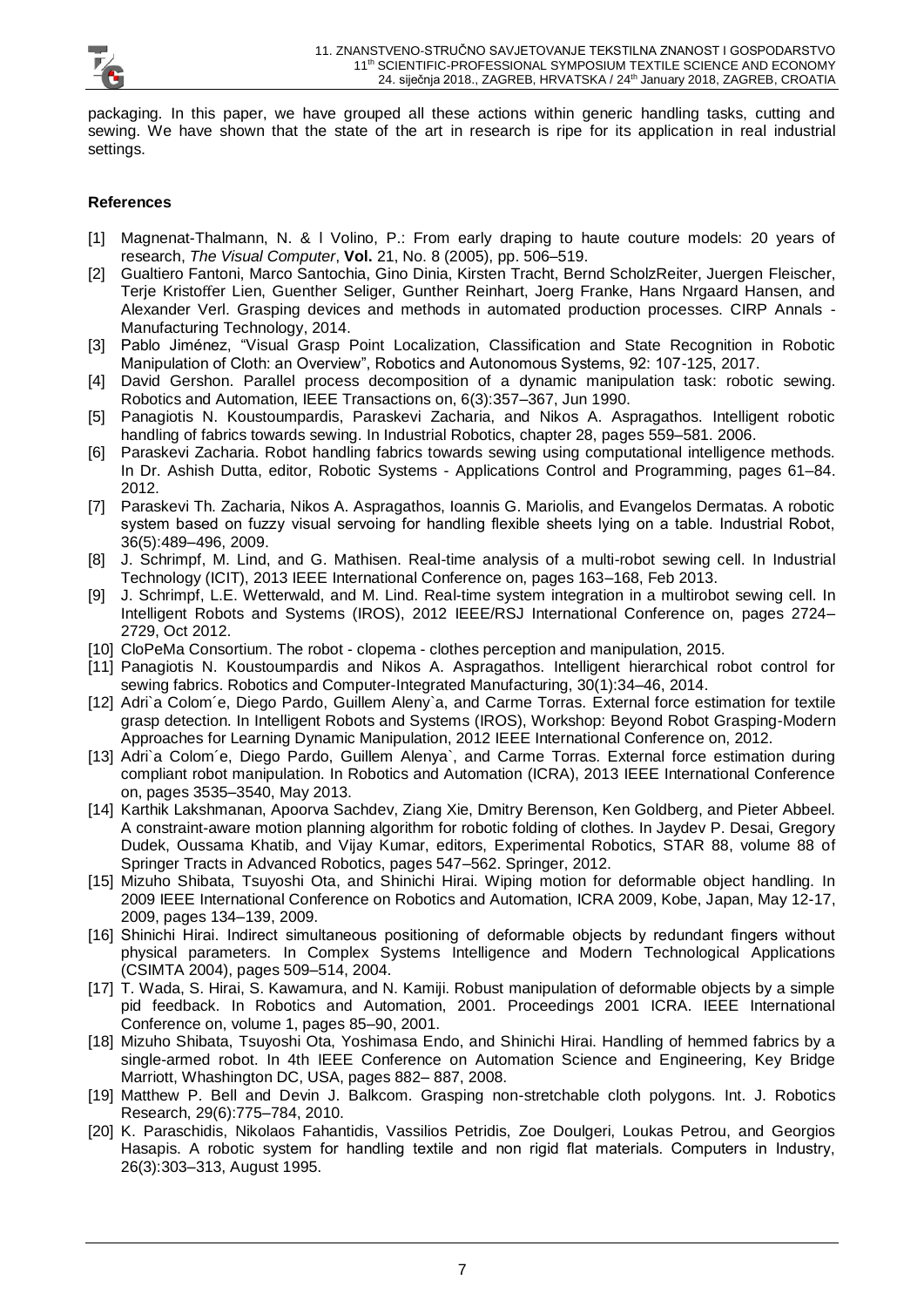

packaging. In this paper, we have grouped all these actions within generic handling tasks, cutting and sewing. We have shown that the state of the art in research is ripe for its application in real industrial settings.

#### **References**

- [1] Magnenat-Thalmann, N. & l Volino, P.: From early draping to haute couture models: 20 years of research, *The Visual Computer*, **Vol.** 21, No. 8 (2005), pp. 506–519.
- [2] Gualtiero Fantoni, Marco Santochia, Gino Dinia, Kirsten Tracht, Bernd ScholzReiter, Juergen Fleischer, Terje Kristoffer Lien, Guenther Seliger, Gunther Reinhart, Joerg Franke, Hans Nrgaard Hansen, and Alexander Verl. Grasping devices and methods in automated production processes. CIRP Annals - Manufacturing Technology, 2014.
- [3] Pablo Jiménez, "Visual Grasp Point Localization, Classification and State Recognition in Robotic Manipulation of Cloth: an Overview", Robotics and Autonomous Systems, 92: 107-125, 2017.
- [4] David Gershon. Parallel process decomposition of a dynamic manipulation task: robotic sewing. Robotics and Automation, IEEE Transactions on, 6(3):357–367, Jun 1990.
- [5] Panagiotis N. Koustoumpardis, Paraskevi Zacharia, and Nikos A. Aspragathos. Intelligent robotic handling of fabrics towards sewing. In Industrial Robotics, chapter 28, pages 559–581. 2006.
- [6] Paraskevi Zacharia. Robot handling fabrics towards sewing using computational intelligence methods. In Dr. Ashish Dutta, editor, Robotic Systems - Applications Control and Programming, pages 61–84. 2012.
- [7] Paraskevi Th. Zacharia, Nikos A. Aspragathos, Ioannis G. Mariolis, and Evangelos Dermatas. A robotic system based on fuzzy visual servoing for handling flexible sheets lying on a table. Industrial Robot, 36(5):489–496, 2009.
- [8] J. Schrimpf, M. Lind, and G. Mathisen. Real-time analysis of a multi-robot sewing cell. In Industrial Technology (ICIT), 2013 IEEE International Conference on, pages 163–168, Feb 2013.
- [9] J. Schrimpf, L.E. Wetterwald, and M. Lind. Real-time system integration in a multirobot sewing cell. In Intelligent Robots and Systems (IROS), 2012 IEEE/RSJ International Conference on, pages 2724– 2729, Oct 2012.
- [10] CloPeMa Consortium. The robot clopema clothes perception and manipulation, 2015.
- [11] Panagiotis N. Koustoumpardis and Nikos A. Aspragathos. Intelligent hierarchical robot control for sewing fabrics. Robotics and Computer-Integrated Manufacturing, 30(1):34–46, 2014.
- [12] Adri`a Colom´e, Diego Pardo, Guillem Aleny`a, and Carme Torras. External force estimation for textile grasp detection. In Intelligent Robots and Systems (IROS), Workshop: Beyond Robot Grasping-Modern Approaches for Learning Dynamic Manipulation, 2012 IEEE International Conference on, 2012.
- [13] Adri`a Colom´e, Diego Pardo, Guillem Alenya`, and Carme Torras. External force estimation during compliant robot manipulation. In Robotics and Automation (ICRA), 2013 IEEE International Conference on, pages 3535–3540, May 2013.
- [14] Karthik Lakshmanan, Apoorva Sachdev, Ziang Xie, Dmitry Berenson, Ken Goldberg, and Pieter Abbeel. A constraint-aware motion planning algorithm for robotic folding of clothes. In Jaydev P. Desai, Gregory Dudek, Oussama Khatib, and Vijay Kumar, editors, Experimental Robotics, STAR 88, volume 88 of Springer Tracts in Advanced Robotics, pages 547–562. Springer, 2012.
- [15] Mizuho Shibata, Tsuyoshi Ota, and Shinichi Hirai. Wiping motion for deformable object handling. In 2009 IEEE International Conference on Robotics and Automation, ICRA 2009, Kobe, Japan, May 12-17, 2009, pages 134–139, 2009.
- [16] Shinichi Hirai. Indirect simultaneous positioning of deformable objects by redundant fingers without physical parameters. In Complex Systems Intelligence and Modern Technological Applications (CSIMTA 2004), pages 509–514, 2004.
- [17] T. Wada, S. Hirai, S. Kawamura, and N. Kamiji. Robust manipulation of deformable objects by a simple pid feedback. In Robotics and Automation, 2001. Proceedings 2001 ICRA. IEEE International Conference on, volume 1, pages 85–90, 2001.
- [18] Mizuho Shibata, Tsuyoshi Ota, Yoshimasa Endo, and Shinichi Hirai. Handling of hemmed fabrics by a single-armed robot. In 4th IEEE Conference on Automation Science and Engineering, Key Bridge Marriott, Whashington DC, USA, pages 882– 887, 2008.
- [19] Matthew P. Bell and Devin J. Balkcom. Grasping non-stretchable cloth polygons. Int. J. Robotics Research, 29(6):775–784, 2010.
- [20] K. Paraschidis, Nikolaos Fahantidis, Vassilios Petridis, Zoe Doulgeri, Loukas Petrou, and Georgios Hasapis. A robotic system for handling textile and non rigid flat materials. Computers in Industry, 26(3):303–313, August 1995.